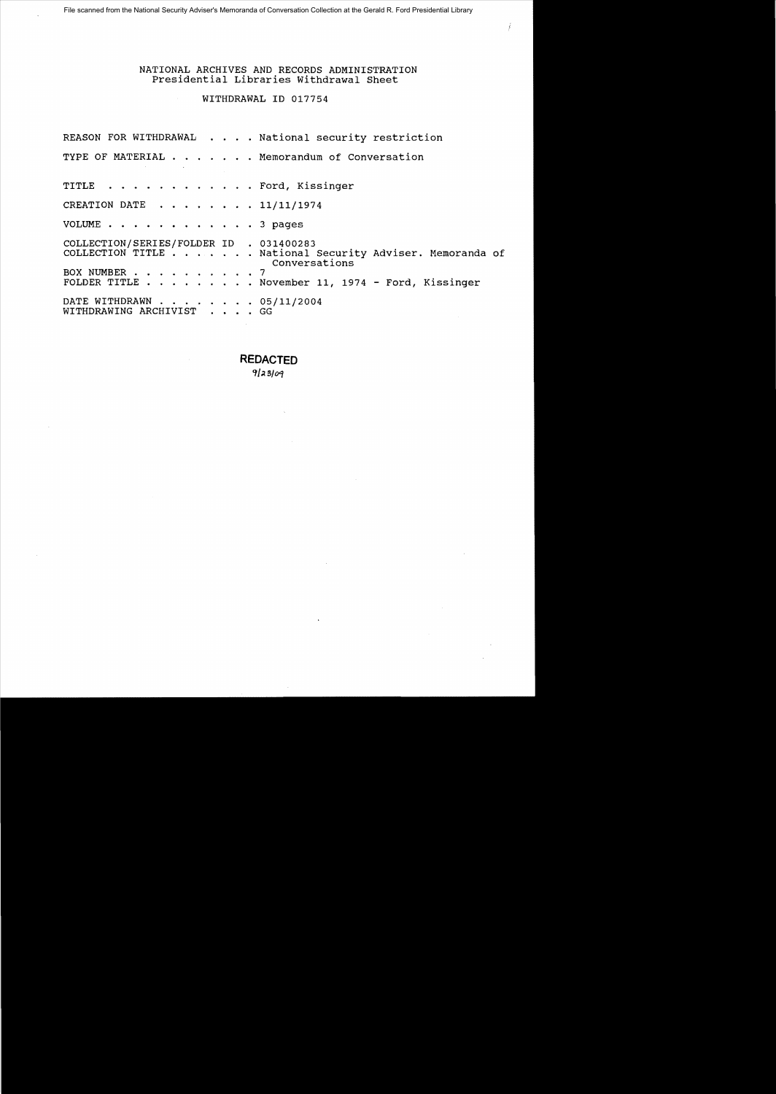#### NATIONAL ARCHIVES AND RECORDS ADMINISTRATION Presidential Libraries Withdrawal Sheet

## WITHDRAWAL ID 017754

REASON FOR WITHDRAWAL . . . . National security restriction TYPE OF MATERIAL  $\cdots$ ,  $\cdots$ , Memorandum of Conversation TITLE . . . . . . . . . . . . Ford, Kissinger CREATION DATE  $\ldots$ ,  $\ldots$ ,  $11/11/1974$ VOLUME . . . . . . . . . . . . 3 pages COLLECTION/SERIES/FOLDER ID . 031400283 COLLECTION TITLE ....... National Security Adviser. Memoranda of Conversations BOX NUMBER . . . . . . . . . . 7 FOLDER TITLE . . . . . . . . November 11, 1974 - Ford, Kissinger DATE WITHDRAWN . . . . . . . . 05/11/2004 WITHDRAWING ARCHIVIST . • . . GG

> **REDACTED**  '1/ *510'1*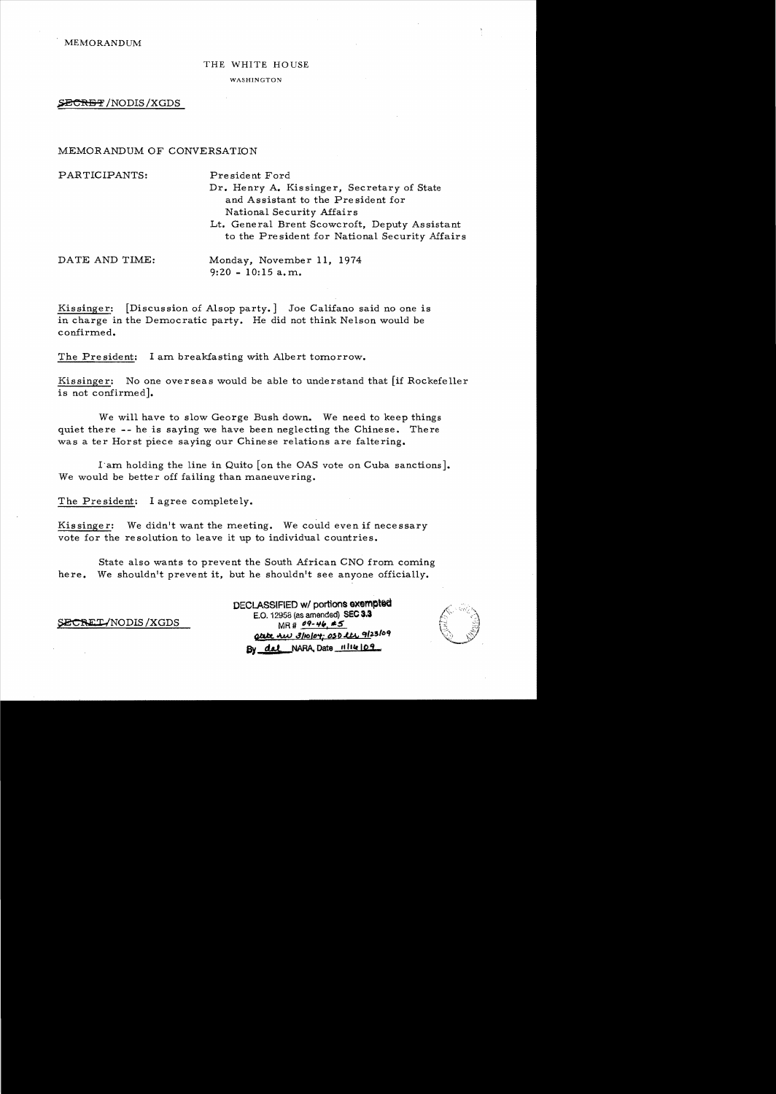#### THE WHITE HOUSE

WASHINGTON

SECRET/NODIS/XGDS

### MEMORANDUM OF CONVERSATION

| PARTICIPANTS:  | President Ford                                                                                  |
|----------------|-------------------------------------------------------------------------------------------------|
|                | Dr. Henry A. Kissinger, Secretary of State                                                      |
|                | and Assistant to the President for                                                              |
|                | National Security Affairs                                                                       |
|                | Lt. General Brent Scowcroft, Deputy Assistant<br>to the President for National Security Affairs |
| DATE AND TIME: | Monday, November 11, 1974                                                                       |
|                | $9:20 - 10:15$ a.m.                                                                             |

Kissinger: [Discussion of Alsop party.] Joe Califano said no one is in charge in the Democratic party. He did not think Nelson would be confirmed.

The President: I am breakfasting with Albert tomorrow.

Kissinger: No one overseas would be able to understand that [if Rockefeller is not confirmed].

We will have to slow George Bush down. We need to keep things quiet there -- he is saying we have been neglecting the Chinese. There was a ter Horst piece saying our Chinese relations are faltering.

I'am holding the line in Quito [on the OAS vote on Cuba sanctions]. We would be better off failing than maneuvering.

The President: I agree completely.

Kissinger: We didn't want the meeting. We could even if necessary vote for the re solution to leave it up to individual countries.

State also wants to prevent the South African CNO from coming here. We shouldn't prevent it, but he shouldn't see anyone officially.

DECLASSIFIED **w/** portions **exempted**<br>E.O. 12958 (as amended) SEC 3.3  $SECRET/NODIS/XGDS$  MR#  $^{99-46}$  **\*5**  $Q$ tate AW 3/10/04; 0SD lts 9/23/09 **By dat** NARA, Date  $||||||$ **lite**  $||0.9$ 

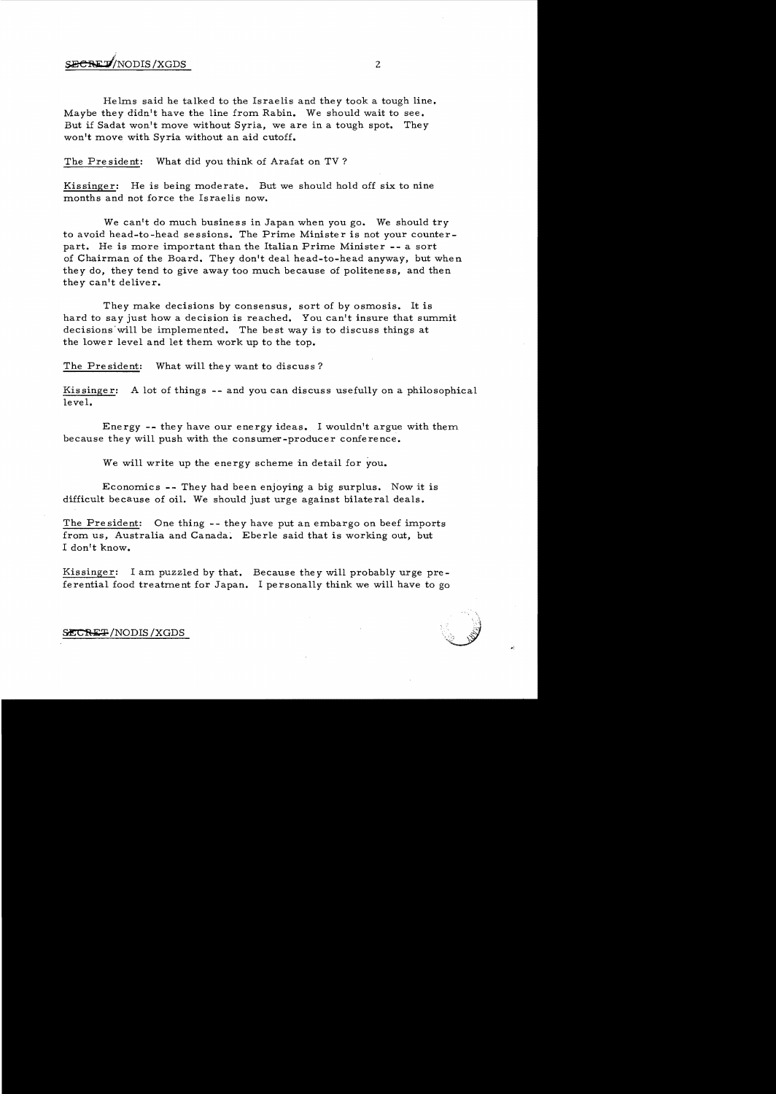# $\mathbf{SECRE}\mathbf{D}^{\prime}$ NODIS/XGDS  $\qquad \qquad \qquad$  2

Helms said he talked to the Israelis and they took a tough line. Maybe they didn't have the line from Rabin. We should wait to see. But if Sadat won't move without Syria, we are in a tough spot. They won't move with Syria without an aid cutoff.

The President: What did you think of Arafat on TV?

Kissinger: He is being moderate. But we should hold off six to nine months and not force the Israelis now.

We can't do much business in Japan when you go. We should *try*  to avoid head-to-head sessions. The Prime Minister is not your counterpart. He is more important than the Italian Prime Minister -- a sort of Chairman of the Board. They don't deal head-to-head anyway, but when they do, they tend to give away too much because of politeness, and then they can't deliver.

They make decisions by consensus, sort of by osmosis. It is hard to say just how a decision is reached. You can't insure that summit decisions'will be implemented. The best way is to discuss things at the lower level and let them work up to the top.

The President: What will they want to discuss?

Kis singe r: A lot of things -- and you can discuss usefully on a philosophical level.

Energy **--** they have our energy ideas. I wouldn't argue with them. because they will push with the consumer-producer conference.

We will write up the energy scheme in detail for *you.* 

Economics **--** They had been enjoying a big surplus. Now it is difficult because of oil. We should just urge against bilateral deals.

The President: One thing **--** they have put an embargo on beef imports from us, Australia and Canada. Eberle said that is working out, but I don't know.

Kissinger: I am puzzled by that. Because they will probably urge preferential food treatment for Japan. I personally think we will have to go

#### SECRET/NODIS/XGDS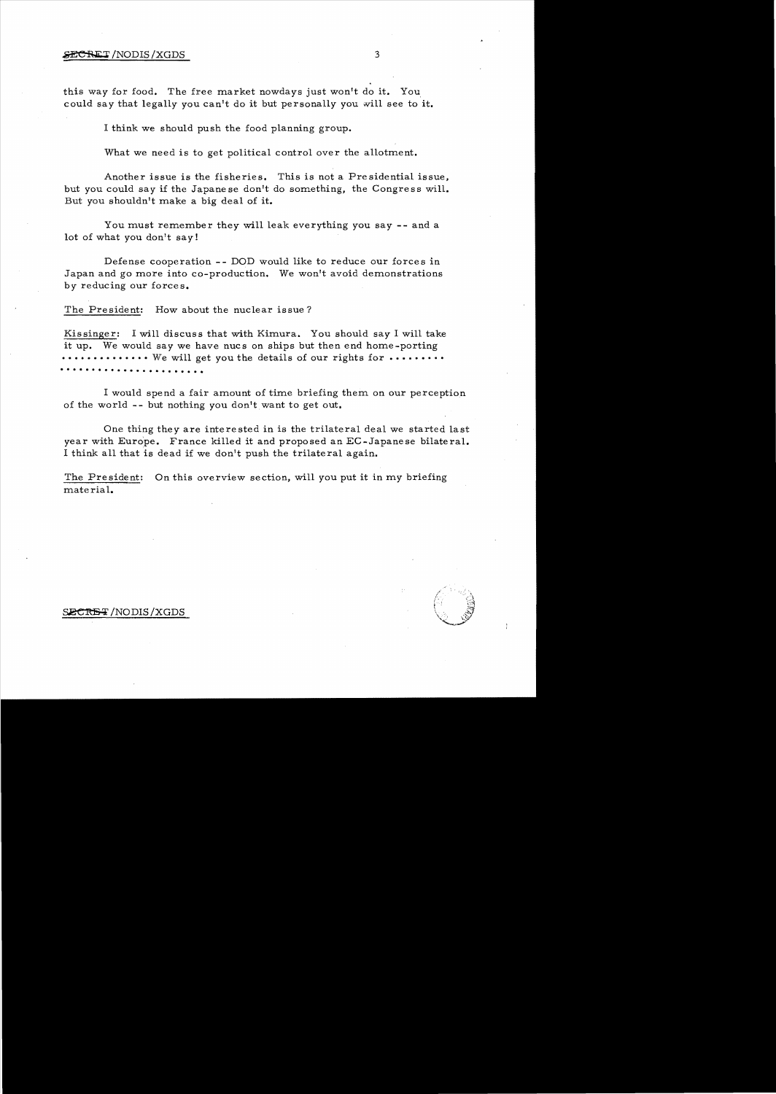#### $\angle$ ECRET/NODIS/XGDS 3

this way for food. The free market nowdays just won't do **it.** You could say that legally *you* can't do it but personally *you* will see to **it.** 

I think we should push the food planning group.

What we need is to get political control over the allotment.

Another issue is the fisheries. This is not a Presidential issue, but *you* could say if the Japanese don't do something, the Congress will. But *you* shouldn't make a big deal of **it.** 

You must remember they will leak everything you say **--** and a lot of what *you* don't say!

Defense cooperation - - DOD would like to reduce our forces in Japan and go more into co-production. We won't avoid demonstrations by reducing our forces.

The President: How about the nuclear issue?

Kissinger: I will discuss that with Kimura. You should say I will take it up. We would say we have nucs on ships but then end home-porting •••••••••••••• We will get *you* the details of our rights for ••••••••• . . . . . . . . . . . .. . . . . . . . . . .

I would spend a fair amount of time briefing them on our perception of the world - - but nothing *you* don't want to get out.

One thing they are interested in is the trilateral deal we started last year with Europe. France killed it and proposed an EC-Japanese bilateral. I think all that is dead if we don't push the trilateral again.

The Pre sident: On this overview section, will *you* put it in *my* briefing material.

#### *INODIS/XGDS*